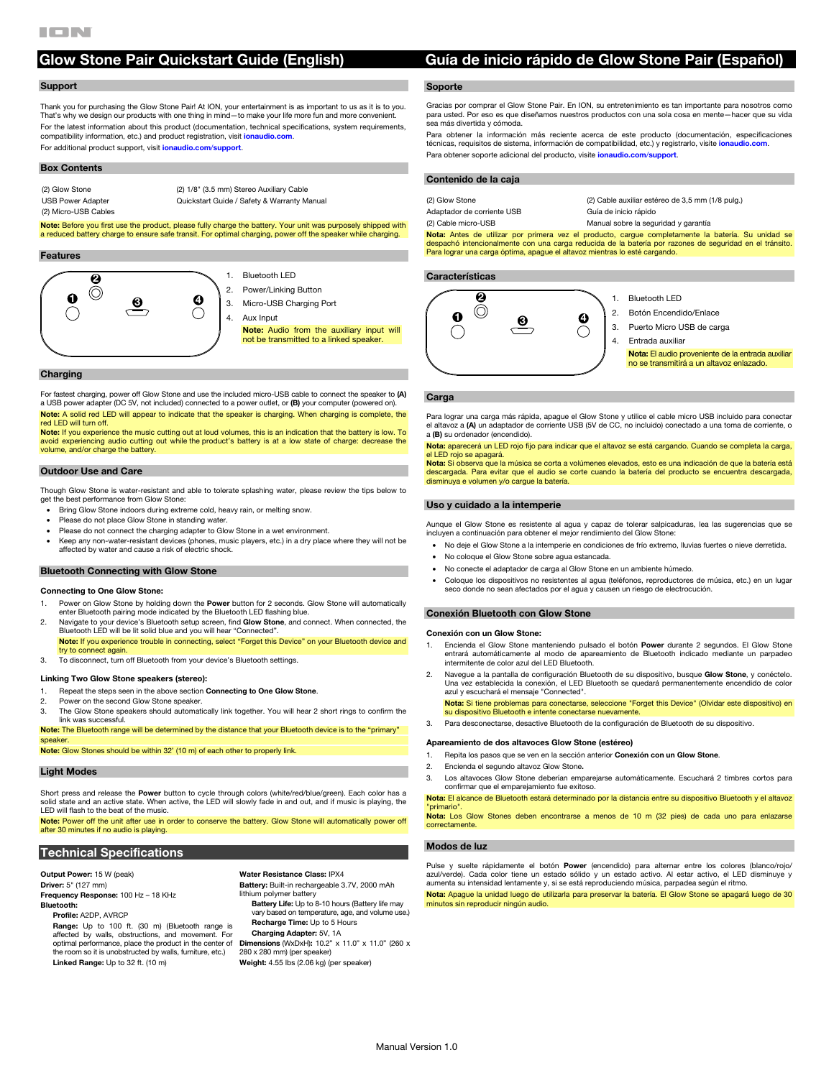# **Glow Stone Pair Quickstart Guide (English) Guía de inicio rápido de Glow Stone Pair (Español)**

### **Support**

Thank you for purchasing the Glow Stone Pair! At ION, your entertainment is as important to us as it is to you. That's why we design our products with one thing in mind—to make your life more fun and more convenient. For the latest information about this product (documentation, technical specifications, system requirements, compatibility information, etc.) and product registration, visit **[ionaudio.com](http://www.ionaudio.com)**. For additional product support, visit **[ionaudio.com](http://www.ionaudio.com/support)**/**support**.

#### **Box Contents**

(2) Glow Stone (2) 1/8" (3.5 mm) Stereo Auxiliary Cable

USB Power Adapter Quickstart Guide / Safety & Warranty Manual

(2) Micro-USB Cables

**Note:** Before you first use the product, please fully charge the battery. Your unit was purposely shipped with a reduced battery charge to ensure safe transit. For optimal charging, power off the speaker while charging.

#### **Features**



#### **Charging**

For fastest charging, power off Glow Stone and use the included micro-USB cable to connect the speaker to **(A)**  a USB power adapter (DC 5V, not included) connected to a power outlet, or **(B)** your computer (powered on). **Note:** A solid red LED will appear to indicate that the speaker is charging. When charging is complete, the

red LED will turn off. **Note:** If you experience the music cutting out at loud volumes, this is an indication that the battery is low. To avoid experiencing audio cutting out while the product's battery is at a low state of charge: decrease the volume, and/or charge the battery.

#### **Outdoor Use and Care**

Though Glow Stone is water-resistant and able to tolerate splashing water, please review the tips below to get the best performance from Glow Stone:

- Bring Glow Stone indoors during extreme cold, heavy rain, or melting snow.
- Please do not place Glow Stone in standing water.
- Please do not connect the charging adapter to Glow Stone in a wet environment.
- Keep any non-water-resistant devices (phones, music players, etc.) in a dry place where they will not be affected by water and cause a risk of electric shock.

#### **Bluetooth Connecting with Glow Stone**

#### **Connecting to One Glow Stone:**

- 1. Power on Glow Stone by holding down the **Power** button for 2 seconds. Glow Stone will automatically enter Bluetooth pairing mode indicated by the Bluetooth LED flashing blue.
- 2. Navigate to your device's Bluetooth setup screen, find **Glow Stone**, and connect. When connected, the Bluetooth LED will be lit solid blue and you will hear "Connected". **Note:** If you experience trouble in connecting, select "Forget this Device" on your Bluetooth device and try to connect again.
- 3. To disconnect, turn off Bluetooth from your device's Bluetooth settings.

#### **Linking Two Glow Stone speakers (stereo):**

- 1. Repeat the steps seen in the above section **Connecting to One Glow Stone**.
- 2. Power on the second Glow Stone speaker.<br>3. The Glow Stone speakers should automat
- The Glow Stone speakers should automatically link together. You will hear 2 short rings to confirm the link was successful.
- **Note:** The Bluetooth range will be determined by the distance that your Bluetooth device is to the "primary" speaker

**Note:** Glow Stones should be within 32' (10 m) of each other to properly link.

# **Light Modes**

Short press and release the **Power** button to cycle through colors (white/red/blue/green). Each color has a<br>solid state and an active state. When active, the LED will slowly fade in and out, and if music is playing, the LED will flash to the beat of the music.

**Note:** Power off the unit after use in order to conserve the battery. Glow Stone will automatically power off after 30 minutes if no audio is playing.

## **Technical Specifications**

**Output Power:** 15 W (peak) **Driver:** 5" (127 mm) **Frequency Response:** 100 Hz – 18 KHz **Bluetooth: Profile:** A2DP, AVRCP

**Range:** Up to 100 ft. (30 m) (Bluetooth range is affected by walls, obstructions, and movement. For optimal performance, place the product in the center of the room so it is unobstructed by walls, furniture, etc.) **Linked Range:** Up to 32 ft. (10 m)

**Water Resistance Class:** IPX4 **Battery:** Built-in rechargeable 3.7V, 2000 mAh lithium polymer battery **Battery Life:** Up to 8-10 hours (Battery life may vary based on temperature, age, and volume use.) **Recharge Time:** Up to 5 Hours **Charging Adapter:** 5V, 1A **Dimensions** (WxDxH): 10.2" x 11.0" x 11.0" (260 x 280 x 280 mm) (per speaker) **Weight:** 4.55 lbs (2.06 kg) (per speaker)

### **Soporte**

Gracias por comprar el Glow Stone Pair. En ION, su entretenimiento es tan importante para nosotros como ed. Por eso es que diseñamos nuestros productos con una sola cosa en mente—hacer que su vida sea más divertida y cómoda.

Para obtener la información más reciente acerca de este producto (documentación, especificaciones técnicas, requisitos de sistema, información de compatibilidad, etc.) y registrarlo, visite **[ionaudio.com](http://www.ionaudio.com)**. Para obtener soporte adicional del producto, visite **[ionaudio.com](http://www.ionaudio.com/support)**/**support**.

**Nota:** Antes de utilizar por primera vez el producto, cargue completamente la batería. Su unidad se despachó intencionalmente con una carga reducida de la batería por razones de seguridad en el tránsito. Para lograr una carga óptima, apague el altavoz mientras lo esté cargando.

#### **Características**



- 1. Bluetooth LED
- 2. Botón Encendido/Enlace
- 3. Puerto Micro USB de carga
- 4. Entrada auxiliar
	- **Nota:** El audio proveniente de la entrada auxiliar no se transmitirá a un altavoz enlazado.

#### **Carga**

Para lograr una carga más rápida, apague el Glow Stone y utilice el cable micro USB incluido para conectar el altavoz a **(A)** un adaptador de corriente USB (5V de CC, no incluido) conectado a una toma de corriente, o a **(B)** su ordenador (encendido).

**Nota:** aparecerá un LED rojo fijo para indicar que el altavoz se está cargando. Cuando se completa la carga, el LED rojo se apagará.

**Nota:** Si observa que la música se corta a volúmenes elevados, esto es una indicación de que la batería está descargada. Para evitar que el audio se corte cuando la batería del producto se encuentra descargada, disminuya e volumen y/o cargue la batería.

#### **Uso y cuidado a la intemperie**

Aunque el Glow Stone es resistente al agua y capaz de tolerar salpicaduras, lea las sugerencias que se incluyen a continuación para obtener el mejor rendimiento del Glow Stone:

- No deje el Glow Stone a la intemperie en condiciones de frío extremo, lluvias fuertes o nieve derretida.
- No coloque el Glow Stone sobre agua estancada.
- No conecte el adaptador de carga al Glow Stone en un ambiente húmedo.
- Coloque los dispositivos no resistentes al agua (teléfonos, reproductores de música, etc.) en un lugar seco donde no sean afectados por el agua y causen un riesgo de electrocución.

#### **Conexión Bluetooth con Glow Stone**

#### **Conexión con un Glow Stone:**

- 1. Encienda el Glow Stone manteniendo pulsado el botón **Power** durante 2 segundos. El Glow Stone entrará automáticamente al modo de apareamiento de Bluetooth indicado mediante un parpadeo intermitente de color azul del LED Bluetooth.
- 2. Navegue a la pantalla de configuración Bluetooth de su dispositivo, busque **Glow Stone**, y conéctelo. Una vez establecida la conexión, el LED Bluetooth se quedará permanentemente encendido de color azul y escuchará el mensaje "Connected".

**Nota:** Si tiene problemas para conectarse, seleccione "Forget this Device" (Olvidar este dispositivo) en<br>su dispositivo Bluetooth e intente conectarse nuevamente.

3. Para desconectarse, desactive Bluetooth de la configuración de Bluetooth de su dispositivo.

#### **Apareamiento de dos altavoces Glow Stone (estéreo)**

- 1. Repita los pasos que se ven en la sección anterior **Conexión con un Glow Stone**.
- 2. Encienda el segundo altavoz Glow Stone**.**
- 3. Los altavoces Glow Stone deberían emparejarse automáticamente. Escuchará 2 timbres cortos para confirmar que el emparejamiento fue exitoso.

**Nota:** El alcance de Bluetooth estará determinado por la distancia entre su dispositivo Bluetooth y el altavoz "primario".

**Nota:** Los Glow Stones deben encontrarse a menos de 10 m (32 pies) de cada uno para enlazarse correctamente.

# **Modos de luz**

Pulse y suelte rápidamente el botón Power (encendido) para alternar entre los colore azul/verde). Cada color tiene un estado sólido y un estado activo. Al estar activo, el LED disminuye y aumenta su intensidad lentamente y, si se está reproduciendo música, parpadea según el ritmo.

**Nota:** Apague la unidad luego de utilizarla para preservar la batería. El Glow Stone se apagará luego de 30 minutos sin reproducir ningún audio.

# **Contenido de la caja**

Adaptador de corriente USB Guía de inicio rápido

(2) Glow Stone (2) Cable auxiliar estéreo de 3,5 mm (1/8 pulg.) (2) Cable micro-USB Manual sobre la seguridad y garantía